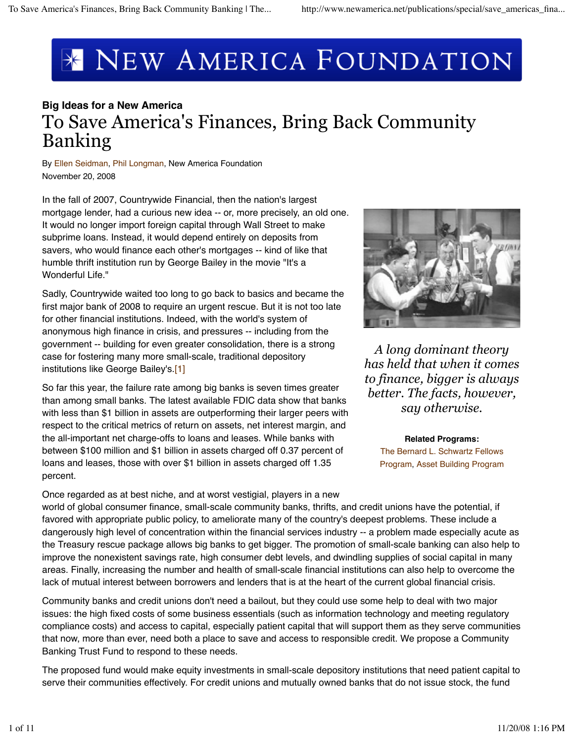# **\* NEW AMERICA FOUNDATION**

## **Big Ideas for a New America** To Save America's Finances, Bring Back Community Banking

By Ellen Seidman, Phil Longman, New America Foundation November 20, 2008

In the fall of 2007, Countrywide Financial, then the nation's largest mortgage lender, had a curious new idea -- or, more precisely, an old one. It would no longer import foreign capital through Wall Street to make subprime loans. Instead, it would depend entirely on deposits from savers, who would finance each other's mortgages -- kind of like that humble thrift institution run by George Bailey in the movie "It's a Wonderful Life."

Sadly, Countrywide waited too long to go back to basics and became the first major bank of 2008 to require an urgent rescue. But it is not too late for other financial institutions. Indeed, with the world's system of anonymous high finance in crisis, and pressures -- including from the government -- building for even greater consolidation, there is a strong case for fostering many more small-scale, traditional depository institutions like George Bailey's.<sup>[1]</sup>

So far this year, the failure rate among big banks is seven times greater than among small banks. The latest available FDIC data show that banks with less than \$1 billion in assets are outperforming their larger peers with respect to the critical metrics of return on assets, net interest margin, and the all-important net charge-offs to loans and leases. While banks with between \$100 million and \$1 billion in assets charged off 0.37 percent of loans and leases, those with over \$1 billion in assets charged off 1.35 percent.



*A long dominant theory has held that when it comes to finance, bigger is always better. The facts, however, say otherwise.*

#### **Related Programs:**

The Bernard L. Schwartz Fellows Program, Asset Building Program

Once regarded as at best niche, and at worst vestigial, players in a new world of global consumer finance, small-scale community banks, thrifts, and credit unions have the potential, if favored with appropriate public policy, to ameliorate many of the country's deepest problems. These include a dangerously high level of concentration within the financial services industry -- a problem made especially acute as the Treasury rescue package allows big banks to get bigger. The promotion of small-scale banking can also help to improve the nonexistent savings rate, high consumer debt levels, and dwindling supplies of social capital in many areas. Finally, increasing the number and health of small-scale financial institutions can also help to overcome the lack of mutual interest between borrowers and lenders that is at the heart of the current global financial crisis.

Community banks and credit unions don't need a bailout, but they could use some help to deal with two major issues: the high fixed costs of some business essentials (such as information technology and meeting regulatory compliance costs) and access to capital, especially patient capital that will support them as they serve communities that now, more than ever, need both a place to save and access to responsible credit. We propose a Community Banking Trust Fund to respond to these needs.

The proposed fund would make equity investments in small-scale depository institutions that need patient capital to serve their communities effectively. For credit unions and mutually owned banks that do not issue stock, the fund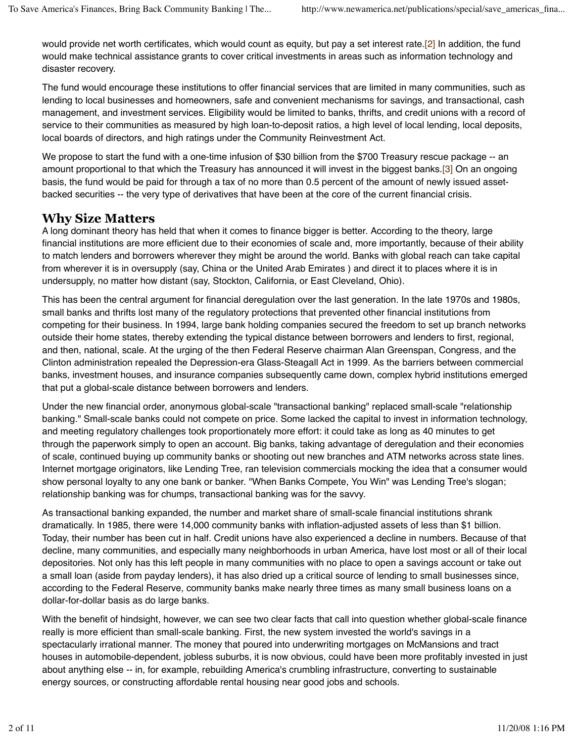would provide net worth certificates, which would count as equity, but pay a set interest rate.<sup>[2]</sup> In addition, the fund would make technical assistance grants to cover critical investments in areas such as information technology and disaster recovery.

The fund would encourage these institutions to offer financial services that are limited in many communities, such as lending to local businesses and homeowners, safe and convenient mechanisms for savings, and transactional, cash management, and investment services. Eligibility would be limited to banks, thrifts, and credit unions with a record of service to their communities as measured by high loan-to-deposit ratios, a high level of local lending, local deposits, local boards of directors, and high ratings under the Community Reinvestment Act.

We propose to start the fund with a one-time infusion of \$30 billion from the \$700 Treasury rescue package -- an amount proportional to that which the Treasury has announced it will invest in the biggest banks.<sup>[3]</sup> On an ongoing basis, the fund would be paid for through a tax of no more than 0.5 percent of the amount of newly issued assetbacked securities -- the very type of derivatives that have been at the core of the current financial crisis.

#### **Why Size Matters**

A long dominant theory has held that when it comes to finance bigger is better. According to the theory, large financial institutions are more efficient due to their economies of scale and, more importantly, because of their ability to match lenders and borrowers wherever they might be around the world. Banks with global reach can take capital from wherever it is in oversupply (say, China or the United Arab Emirates ) and direct it to places where it is in undersupply, no matter how distant (say, Stockton, California, or East Cleveland, Ohio).

This has been the central argument for financial deregulation over the last generation. In the late 1970s and 1980s, small banks and thrifts lost many of the regulatory protections that prevented other financial institutions from competing for their business. In 1994, large bank holding companies secured the freedom to set up branch networks outside their home states, thereby extending the typical distance between borrowers and lenders to first, regional, and then, national, scale. At the urging of the then Federal Reserve chairman Alan Greenspan, Congress, and the Clinton administration repealed the Depression-era Glass-Steagall Act in 1999. As the barriers between commercial banks, investment houses, and insurance companies subsequently came down, complex hybrid institutions emerged that put a global-scale distance between borrowers and lenders.

Under the new financial order, anonymous global-scale "transactional banking" replaced small-scale "relationship banking." Small-scale banks could not compete on price. Some lacked the capital to invest in information technology, and meeting regulatory challenges took proportionately more effort: it could take as long as 40 minutes to get through the paperwork simply to open an account. Big banks, taking advantage of deregulation and their economies of scale, continued buying up community banks or shooting out new branches and ATM networks across state lines. Internet mortgage originators, like Lending Tree, ran television commercials mocking the idea that a consumer would show personal loyalty to any one bank or banker. "When Banks Compete, You Win" was Lending Tree's slogan; relationship banking was for chumps, transactional banking was for the savvy.

As transactional banking expanded, the number and market share of small-scale financial institutions shrank dramatically. In 1985, there were 14,000 community banks with inflation-adjusted assets of less than \$1 billion. Today, their number has been cut in half. Credit unions have also experienced a decline in numbers. Because of that decline, many communities, and especially many neighborhoods in urban America, have lost most or all of their local depositories. Not only has this left people in many communities with no place to open a savings account or take out a small loan (aside from payday lenders), it has also dried up a critical source of lending to small businesses since, according to the Federal Reserve, community banks make nearly three times as many small business loans on a dollar-for-dollar basis as do large banks.

With the benefit of hindsight, however, we can see two clear facts that call into question whether global-scale finance really is more efficient than small-scale banking. First, the new system invested the world's savings in a spectacularly irrational manner. The money that poured into underwriting mortgages on McMansions and tract houses in automobile-dependent, jobless suburbs, it is now obvious, could have been more profitably invested in just about anything else -- in, for example, rebuilding America's crumbling infrastructure, converting to sustainable energy sources, or constructing affordable rental housing near good jobs and schools.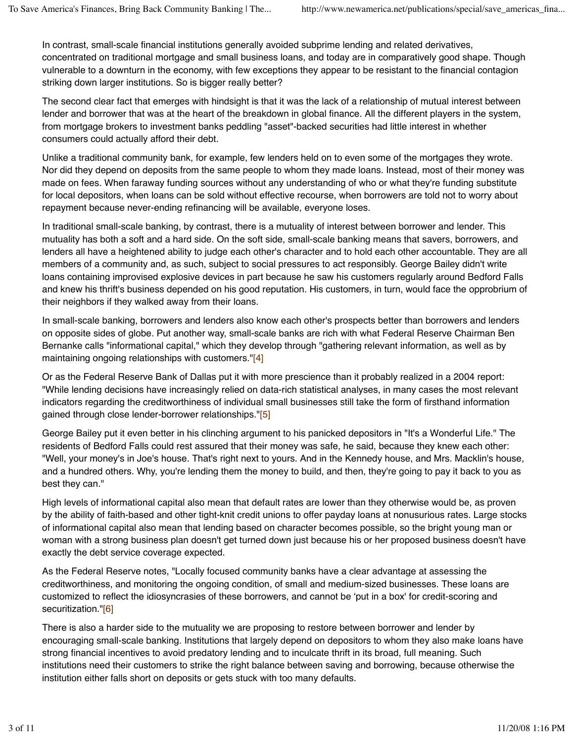In contrast, small-scale financial institutions generally avoided subprime lending and related derivatives, concentrated on traditional mortgage and small business loans, and today are in comparatively good shape. Though vulnerable to a downturn in the economy, with few exceptions they appear to be resistant to the financial contagion striking down larger institutions. So is bigger really better?

The second clear fact that emerges with hindsight is that it was the lack of a relationship of mutual interest between lender and borrower that was at the heart of the breakdown in global finance. All the different players in the system, from mortgage brokers to investment banks peddling "asset"-backed securities had little interest in whether consumers could actually afford their debt.

Unlike a traditional community bank, for example, few lenders held on to even some of the mortgages they wrote. Nor did they depend on deposits from the same people to whom they made loans. Instead, most of their money was made on fees. When faraway funding sources without any understanding of who or what they're funding substitute for local depositors, when loans can be sold without effective recourse, when borrowers are told not to worry about repayment because never-ending refinancing will be available, everyone loses.

In traditional small-scale banking, by contrast, there is a mutuality of interest between borrower and lender. This mutuality has both a soft and a hard side. On the soft side, small-scale banking means that savers, borrowers, and lenders all have a heightened ability to judge each other's character and to hold each other accountable. They are all members of a community and, as such, subject to social pressures to act responsibly. George Bailey didn't write loans containing improvised explosive devices in part because he saw his customers regularly around Bedford Falls and knew his thrift's business depended on his good reputation. His customers, in turn, would face the opprobrium of their neighbors if they walked away from their loans.

In small-scale banking, borrowers and lenders also know each other's prospects better than borrowers and lenders on opposite sides of globe. Put another way, small-scale banks are rich with what Federal Reserve Chairman Ben Bernanke calls "informational capital," which they develop through "gathering relevant information, as well as by maintaining ongoing relationships with customers."[4]

Or as the Federal Reserve Bank of Dallas put it with more prescience than it probably realized in a 2004 report: "While lending decisions have increasingly relied on data-rich statistical analyses, in many cases the most relevant indicators regarding the creditworthiness of individual small businesses still take the form of firsthand information gained through close lender-borrower relationships."[5]

George Bailey put it even better in his clinching argument to his panicked depositors in "It's a Wonderful Life." The residents of Bedford Falls could rest assured that their money was safe, he said, because they knew each other: "Well, your money's in Joe's house. That's right next to yours. And in the Kennedy house, and Mrs. Macklin's house, and a hundred others. Why, you're lending them the money to build, and then, they're going to pay it back to you as best they can."

High levels of informational capital also mean that default rates are lower than they otherwise would be, as proven by the ability of faith-based and other tight-knit credit unions to offer payday loans at nonusurious rates. Large stocks of informational capital also mean that lending based on character becomes possible, so the bright young man or woman with a strong business plan doesn't get turned down just because his or her proposed business doesn't have exactly the debt service coverage expected.

As the Federal Reserve notes, "Locally focused community banks have a clear advantage at assessing the creditworthiness, and monitoring the ongoing condition, of small and medium-sized businesses. These loans are customized to reflect the idiosyncrasies of these borrowers, and cannot be 'put in a box' for credit-scoring and securitization."[6]

There is also a harder side to the mutuality we are proposing to restore between borrower and lender by encouraging small-scale banking. Institutions that largely depend on depositors to whom they also make loans have strong financial incentives to avoid predatory lending and to inculcate thrift in its broad, full meaning. Such institutions need their customers to strike the right balance between saving and borrowing, because otherwise the institution either falls short on deposits or gets stuck with too many defaults.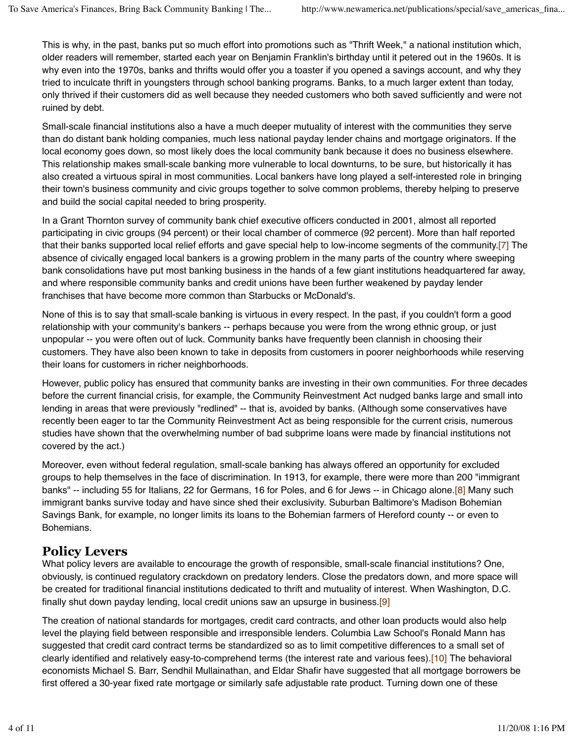This is why, in the past, banks put so much effort into promotions such as "Thrift Week," a national institution which, older readers will remember, started each year on Benjamin Franklin's birthday until it petered out in the 1960s. It is why even into the 1970s, banks and thrifts would offer you a toaster if you opened a savings account, and why they tried to inculcate thrift in youngsters through school banking programs. Banks, to a much larger extent than today, only thrived if their customers did as well because they needed customers who both saved sufficiently and were not ruined by debt.

Small-scale financial institutions also a have a much deeper mutuality of interest with the communities they serve than do distant bank holding companies, much less national payday lender chains and mortgage originators. If the local economy goes down, so most likely does the local community bank because it does no business elsewhere. This relationship makes small-scale banking more vulnerable to local downturns, to be sure, but historically it has also created a virtuous spiral in most communities. Local bankers have long played a self-interested role in bringing their town's business community and civic groups together to solve common problems, thereby helping to preserve and build the social capital needed to bring prosperity.

In a Grant Thornton survey of community bank chief executive officers conducted in 2001, almost all reported participating in civic groups (94 percent) or their local chamber of commerce (92 percent). More than half reported that their banks supported local relief efforts and gave special help to low-income segments of the community.[7] The absence of civically engaged local bankers is a growing problem in the many parts of the country where sweeping bank consolidations have put most banking business in the hands of a few giant institutions headquartered far away, and where responsible community banks and credit unions have been further weakened by payday lender franchises that have become more common than Starbucks or McDonald's.

None of this is to say that small-scale banking is virtuous in every respect. In the past, if you couldn't form a good relationship with your community's bankers -- perhaps because you were from the wrong ethnic group, or just unpopular -- you were often out of luck. Community banks have frequently been clannish in choosing their customers. They have also been known to take in deposits from customers in poorer neighborhoods while reserving their loans for customers in richer neighborhoods.

However, public policy has ensured that community banks are investing in their own communities. For three decades before the current financial crisis, for example, the Community Reinvestment Act nudged banks large and small into lending in areas that were previously "redlined" -- that is, avoided by banks. (Although some conservatives have recently been eager to tar the Community Reinvestment Act as being responsible for the current crisis, numerous studies have shown that the overwhelming number of bad subprime loans were made by financial institutions not covered by the act.)

Moreover, even without federal regulation, small-scale banking has always offered an opportunity for excluded groups to help themselves in the face of discrimination. In 1913, for example, there were more than 200 "immigrant banks" -- including 55 for Italians, 22 for Germans, 16 for Poles, and 6 for Jews -- in Chicago alone.[8] Many such immigrant banks survive today and have since shed their exclusivity. Suburban Baltimore's Madison Bohemian Savings Bank, for example, no longer limits its loans to the Bohemian farmers of Hereford county -- or even to Bohemians.

## **Policy Levers**

What policy levers are available to encourage the growth of responsible, small-scale financial institutions? One, obviously, is continued regulatory crackdown on predatory lenders. Close the predators down, and more space will be created for traditional financial institutions dedicated to thrift and mutuality of interest. When Washington, D.C. finally shut down payday lending, local credit unions saw an upsurge in business.<sup>[9]</sup>

The creation of national standards for mortgages, credit card contracts, and other loan products would also help level the playing field between responsible and irresponsible lenders. Columbia Law School's Ronald Mann has suggested that credit card contract terms be standardized so as to limit competitive differences to a small set of clearly identified and relatively easy-to-comprehend terms (the interest rate and various fees).[10] The behavioral economists Michael S. Barr, Sendhil Mullainathan, and Eldar Shafir have suggested that all mortgage borrowers be first offered a 30-year fixed rate mortgage or similarly safe adjustable rate product. Turning down one of these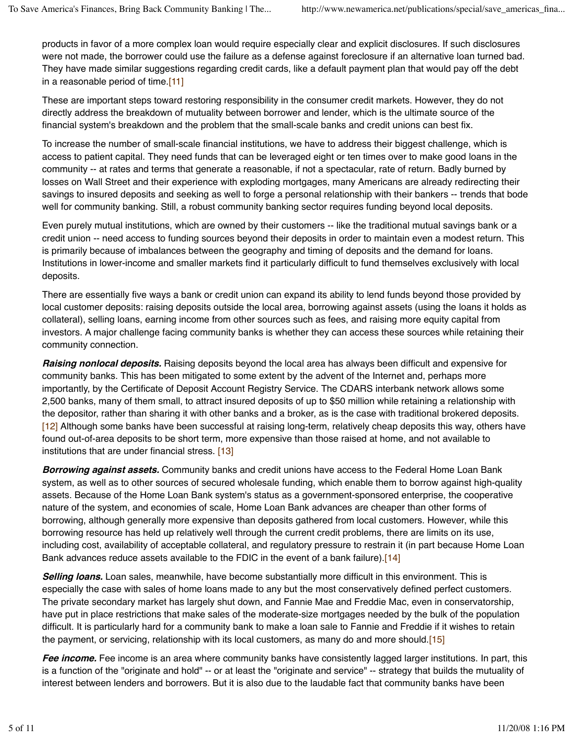products in favor of a more complex loan would require especially clear and explicit disclosures. If such disclosures were not made, the borrower could use the failure as a defense against foreclosure if an alternative loan turned bad. They have made similar suggestions regarding credit cards, like a default payment plan that would pay off the debt in a reasonable period of time.[11]

These are important steps toward restoring responsibility in the consumer credit markets. However, they do not directly address the breakdown of mutuality between borrower and lender, which is the ultimate source of the financial system's breakdown and the problem that the small-scale banks and credit unions can best fix.

To increase the number of small-scale financial institutions, we have to address their biggest challenge, which is access to patient capital. They need funds that can be leveraged eight or ten times over to make good loans in the community -- at rates and terms that generate a reasonable, if not a spectacular, rate of return. Badly burned by losses on Wall Street and their experience with exploding mortgages, many Americans are already redirecting their savings to insured deposits and seeking as well to forge a personal relationship with their bankers -- trends that bode well for community banking. Still, a robust community banking sector requires funding beyond local deposits.

Even purely mutual institutions, which are owned by their customers -- like the traditional mutual savings bank or a credit union -- need access to funding sources beyond their deposits in order to maintain even a modest return. This is primarily because of imbalances between the geography and timing of deposits and the demand for loans. Institutions in lower-income and smaller markets find it particularly difficult to fund themselves exclusively with local deposits.

There are essentially five ways a bank or credit union can expand its ability to lend funds beyond those provided by local customer deposits: raising deposits outside the local area, borrowing against assets (using the loans it holds as collateral), selling loans, earning income from other sources such as fees, and raising more equity capital from investors. A major challenge facing community banks is whether they can access these sources while retaining their community connection.

**Raising nonlocal deposits.** Raising deposits beyond the local area has always been difficult and expensive for community banks. This has been mitigated to some extent by the advent of the Internet and, perhaps more importantly, by the Certificate of Deposit Account Registry Service. The CDARS interbank network allows some 2,500 banks, many of them small, to attract insured deposits of up to \$50 million while retaining a relationship with the depositor, rather than sharing it with other banks and a broker, as is the case with traditional brokered deposits. [12] Although some banks have been successful at raising long-term, relatively cheap deposits this way, others have found out-of-area deposits to be short term, more expensive than those raised at home, and not available to institutions that are under financial stress. [13]

**Borrowing against assets.** Community banks and credit unions have access to the Federal Home Loan Bank system, as well as to other sources of secured wholesale funding, which enable them to borrow against high-quality assets. Because of the Home Loan Bank system's status as a government-sponsored enterprise, the cooperative nature of the system, and economies of scale, Home Loan Bank advances are cheaper than other forms of borrowing, although generally more expensive than deposits gathered from local customers. However, while this borrowing resource has held up relatively well through the current credit problems, there are limits on its use, including cost, availability of acceptable collateral, and regulatory pressure to restrain it (in part because Home Loan Bank advances reduce assets available to the FDIC in the event of a bank failure).[14]

**Selling loans.** Loan sales, meanwhile, have become substantially more difficult in this environment. This is especially the case with sales of home loans made to any but the most conservatively defined perfect customers. The private secondary market has largely shut down, and Fannie Mae and Freddie Mac, even in conservatorship, have put in place restrictions that make sales of the moderate-size mortgages needed by the bulk of the population difficult. It is particularly hard for a community bank to make a loan sale to Fannie and Freddie if it wishes to retain the payment, or servicing, relationship with its local customers, as many do and more should.[15]

**Fee income.** Fee income is an area where community banks have consistently lagged larger institutions. In part, this is a function of the "originate and hold" -- or at least the "originate and service" -- strategy that builds the mutuality of interest between lenders and borrowers. But it is also due to the laudable fact that community banks have been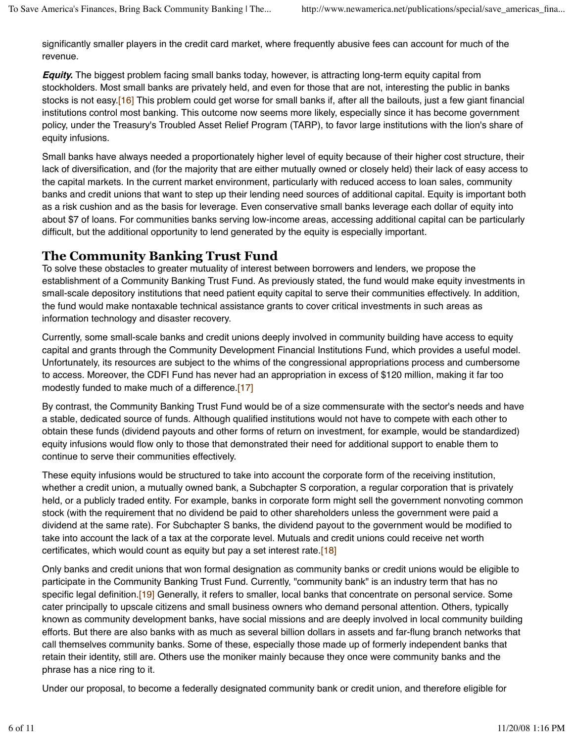significantly smaller players in the credit card market, where frequently abusive fees can account for much of the revenue.

**Equity.** The biggest problem facing small banks today, however, is attracting long-term equity capital from stockholders. Most small banks are privately held, and even for those that are not, interesting the public in banks stocks is not easy.[16] This problem could get worse for small banks if, after all the bailouts, just a few giant financial institutions control most banking. This outcome now seems more likely, especially since it has become government policy, under the Treasury's Troubled Asset Relief Program (TARP), to favor large institutions with the lion's share of equity infusions.

Small banks have always needed a proportionately higher level of equity because of their higher cost structure, their lack of diversification, and (for the majority that are either mutually owned or closely held) their lack of easy access to the capital markets. In the current market environment, particularly with reduced access to loan sales, community banks and credit unions that want to step up their lending need sources of additional capital. Equity is important both as a risk cushion and as the basis for leverage. Even conservative small banks leverage each dollar of equity into about \$7 of loans. For communities banks serving low-income areas, accessing additional capital can be particularly difficult, but the additional opportunity to lend generated by the equity is especially important.

## **The Community Banking Trust Fund**

To solve these obstacles to greater mutuality of interest between borrowers and lenders, we propose the establishment of a Community Banking Trust Fund. As previously stated, the fund would make equity investments in small-scale depository institutions that need patient equity capital to serve their communities effectively. In addition, the fund would make nontaxable technical assistance grants to cover critical investments in such areas as information technology and disaster recovery.

Currently, some small-scale banks and credit unions deeply involved in community building have access to equity capital and grants through the Community Development Financial Institutions Fund, which provides a useful model. Unfortunately, its resources are subject to the whims of the congressional appropriations process and cumbersome to access. Moreover, the CDFI Fund has never had an appropriation in excess of \$120 million, making it far too modestly funded to make much of a difference.[17]

By contrast, the Community Banking Trust Fund would be of a size commensurate with the sector's needs and have a stable, dedicated source of funds. Although qualified institutions would not have to compete with each other to obtain these funds (dividend payouts and other forms of return on investment, for example, would be standardized) equity infusions would flow only to those that demonstrated their need for additional support to enable them to continue to serve their communities effectively.

These equity infusions would be structured to take into account the corporate form of the receiving institution, whether a credit union, a mutually owned bank, a Subchapter S corporation, a regular corporation that is privately held, or a publicly traded entity. For example, banks in corporate form might sell the government nonvoting common stock (with the requirement that no dividend be paid to other shareholders unless the government were paid a dividend at the same rate). For Subchapter S banks, the dividend payout to the government would be modified to take into account the lack of a tax at the corporate level. Mutuals and credit unions could receive net worth certificates, which would count as equity but pay a set interest rate.[18]

Only banks and credit unions that won formal designation as community banks or credit unions would be eligible to participate in the Community Banking Trust Fund. Currently, "community bank" is an industry term that has no specific legal definition.[19] Generally, it refers to smaller, local banks that concentrate on personal service. Some cater principally to upscale citizens and small business owners who demand personal attention. Others, typically known as community development banks, have social missions and are deeply involved in local community building efforts. But there are also banks with as much as several billion dollars in assets and far-flung branch networks that call themselves community banks. Some of these, especially those made up of formerly independent banks that retain their identity, still are. Others use the moniker mainly because they once were community banks and the phrase has a nice ring to it.

Under our proposal, to become a federally designated community bank or credit union, and therefore eligible for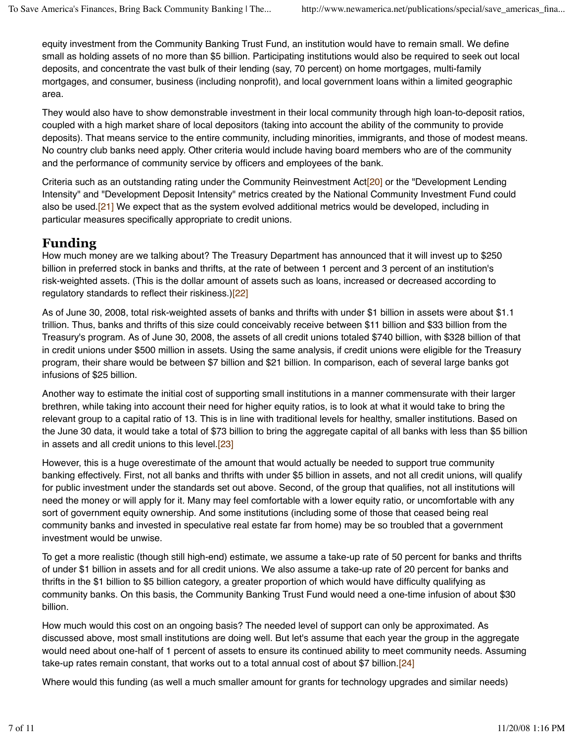equity investment from the Community Banking Trust Fund, an institution would have to remain small. We define small as holding assets of no more than \$5 billion. Participating institutions would also be required to seek out local deposits, and concentrate the vast bulk of their lending (say, 70 percent) on home mortgages, multi-family mortgages, and consumer, business (including nonprofit), and local government loans within a limited geographic area.

They would also have to show demonstrable investment in their local community through high loan-to-deposit ratios, coupled with a high market share of local depositors (taking into account the ability of the community to provide deposits). That means service to the entire community, including minorities, immigrants, and those of modest means. No country club banks need apply. Other criteria would include having board members who are of the community and the performance of community service by officers and employees of the bank.

Criteria such as an outstanding rating under the Community Reinvestment Act<sup>[20]</sup> or the "Development Lending Intensity" and "Development Deposit Intensity" metrics created by the National Community Investment Fund could also be used.[21] We expect that as the system evolved additional metrics would be developed, including in particular measures specifically appropriate to credit unions.

#### **Funding**

How much money are we talking about? The Treasury Department has announced that it will invest up to \$250 billion in preferred stock in banks and thrifts, at the rate of between 1 percent and 3 percent of an institution's risk-weighted assets. (This is the dollar amount of assets such as loans, increased or decreased according to regulatory standards to reflect their riskiness.)[22]

As of June 30, 2008, total risk-weighted assets of banks and thrifts with under \$1 billion in assets were about \$1.1 trillion. Thus, banks and thrifts of this size could conceivably receive between \$11 billion and \$33 billion from the Treasury's program. As of June 30, 2008, the assets of all credit unions totaled \$740 billion, with \$328 billion of that in credit unions under \$500 million in assets. Using the same analysis, if credit unions were eligible for the Treasury program, their share would be between \$7 billion and \$21 billion. In comparison, each of several large banks got infusions of \$25 billion.

Another way to estimate the initial cost of supporting small institutions in a manner commensurate with their larger brethren, while taking into account their need for higher equity ratios, is to look at what it would take to bring the relevant group to a capital ratio of 13. This is in line with traditional levels for healthy, smaller institutions. Based on the June 30 data, it would take a total of \$73 billion to bring the aggregate capital of all banks with less than \$5 billion in assets and all credit unions to this level.<sup>[23]</sup>

However, this is a huge overestimate of the amount that would actually be needed to support true community banking effectively. First, not all banks and thrifts with under \$5 billion in assets, and not all credit unions, will qualify for public investment under the standards set out above. Second, of the group that qualifies, not all institutions will need the money or will apply for it. Many may feel comfortable with a lower equity ratio, or uncomfortable with any sort of government equity ownership. And some institutions (including some of those that ceased being real community banks and invested in speculative real estate far from home) may be so troubled that a government investment would be unwise.

To get a more realistic (though still high-end) estimate, we assume a take-up rate of 50 percent for banks and thrifts of under \$1 billion in assets and for all credit unions. We also assume a take-up rate of 20 percent for banks and thrifts in the \$1 billion to \$5 billion category, a greater proportion of which would have difficulty qualifying as community banks. On this basis, the Community Banking Trust Fund would need a one-time infusion of about \$30 billion.

How much would this cost on an ongoing basis? The needed level of support can only be approximated. As discussed above, most small institutions are doing well. But let's assume that each year the group in the aggregate would need about one-half of 1 percent of assets to ensure its continued ability to meet community needs. Assuming take-up rates remain constant, that works out to a total annual cost of about \$7 billion.[24]

Where would this funding (as well a much smaller amount for grants for technology upgrades and similar needs)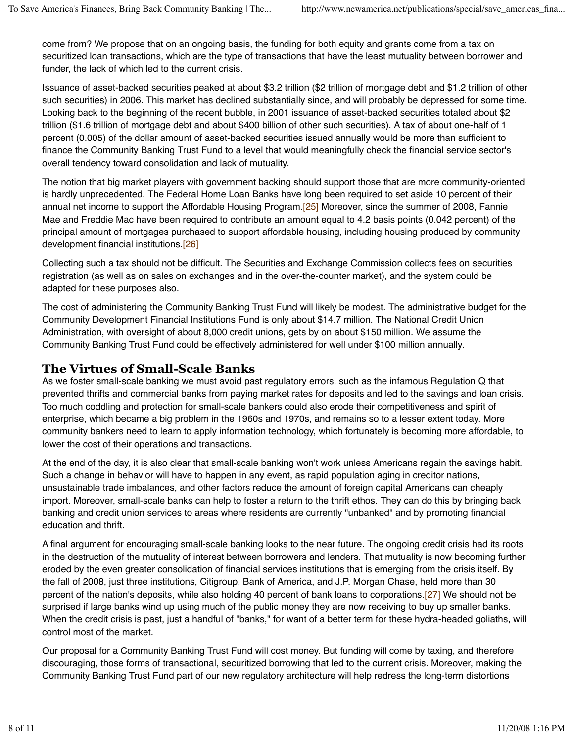come from? We propose that on an ongoing basis, the funding for both equity and grants come from a tax on securitized loan transactions, which are the type of transactions that have the least mutuality between borrower and funder, the lack of which led to the current crisis.

Issuance of asset-backed securities peaked at about \$3.2 trillion (\$2 trillion of mortgage debt and \$1.2 trillion of other such securities) in 2006. This market has declined substantially since, and will probably be depressed for some time. Looking back to the beginning of the recent bubble, in 2001 issuance of asset-backed securities totaled about \$2 trillion (\$1.6 trillion of mortgage debt and about \$400 billion of other such securities). A tax of about one-half of 1 percent (0.005) of the dollar amount of asset-backed securities issued annually would be more than sufficient to finance the Community Banking Trust Fund to a level that would meaningfully check the financial service sector's overall tendency toward consolidation and lack of mutuality.

The notion that big market players with government backing should support those that are more community-oriented is hardly unprecedented. The Federal Home Loan Banks have long been required to set aside 10 percent of their annual net income to support the Affordable Housing Program.[25] Moreover, since the summer of 2008, Fannie Mae and Freddie Mac have been required to contribute an amount equal to 4.2 basis points (0.042 percent) of the principal amount of mortgages purchased to support affordable housing, including housing produced by community development financial institutions.[26]

Collecting such a tax should not be difficult. The Securities and Exchange Commission collects fees on securities registration (as well as on sales on exchanges and in the over-the-counter market), and the system could be adapted for these purposes also.

The cost of administering the Community Banking Trust Fund will likely be modest. The administrative budget for the Community Development Financial Institutions Fund is only about \$14.7 million. The National Credit Union Administration, with oversight of about 8,000 credit unions, gets by on about \$150 million. We assume the Community Banking Trust Fund could be effectively administered for well under \$100 million annually.

#### **The Virtues of Small-Scale Banks**

As we foster small-scale banking we must avoid past regulatory errors, such as the infamous Regulation Q that prevented thrifts and commercial banks from paying market rates for deposits and led to the savings and loan crisis. Too much coddling and protection for small-scale bankers could also erode their competitiveness and spirit of enterprise, which became a big problem in the 1960s and 1970s, and remains so to a lesser extent today. More community bankers need to learn to apply information technology, which fortunately is becoming more affordable, to lower the cost of their operations and transactions.

At the end of the day, it is also clear that small-scale banking won't work unless Americans regain the savings habit. Such a change in behavior will have to happen in any event, as rapid population aging in creditor nations, unsustainable trade imbalances, and other factors reduce the amount of foreign capital Americans can cheaply import. Moreover, small-scale banks can help to foster a return to the thrift ethos. They can do this by bringing back banking and credit union services to areas where residents are currently "unbanked" and by promoting financial education and thrift.

A final argument for encouraging small-scale banking looks to the near future. The ongoing credit crisis had its roots in the destruction of the mutuality of interest between borrowers and lenders. That mutuality is now becoming further eroded by the even greater consolidation of financial services institutions that is emerging from the crisis itself. By the fall of 2008, just three institutions, Citigroup, Bank of America, and J.P. Morgan Chase, held more than 30 percent of the nation's deposits, while also holding 40 percent of bank loans to corporations.[27] We should not be surprised if large banks wind up using much of the public money they are now receiving to buy up smaller banks. When the credit crisis is past, just a handful of "banks," for want of a better term for these hydra-headed goliaths, will control most of the market.

Our proposal for a Community Banking Trust Fund will cost money. But funding will come by taxing, and therefore discouraging, those forms of transactional, securitized borrowing that led to the current crisis. Moreover, making the Community Banking Trust Fund part of our new regulatory architecture will help redress the long-term distortions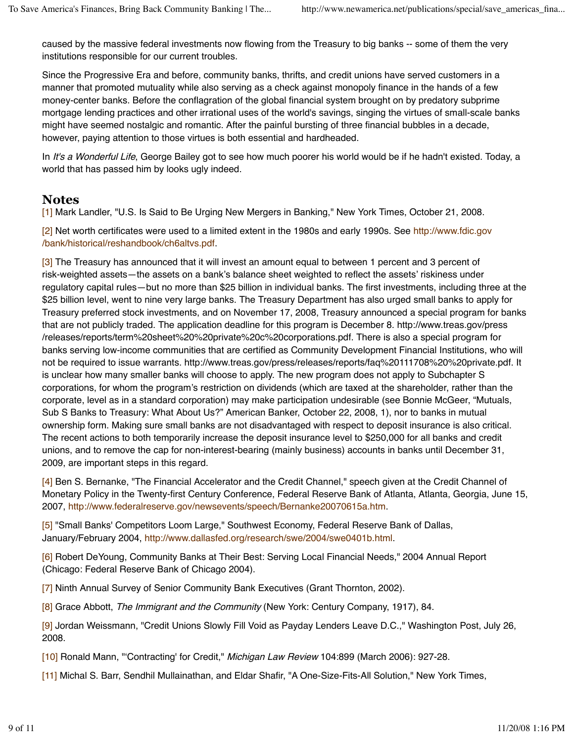caused by the massive federal investments now flowing from the Treasury to big banks -- some of them the very institutions responsible for our current troubles.

Since the Progressive Era and before, community banks, thrifts, and credit unions have served customers in a manner that promoted mutuality while also serving as a check against monopoly finance in the hands of a few money-center banks. Before the conflagration of the global financial system brought on by predatory subprime mortgage lending practices and other irrational uses of the world's savings, singing the virtues of small-scale banks might have seemed nostalgic and romantic. After the painful bursting of three financial bubbles in a decade, however, paying attention to those virtues is both essential and hardheaded.

In It's a Wonderful Life, George Bailey got to see how much poorer his world would be if he hadn't existed. Today, a world that has passed him by looks ugly indeed.

#### **Notes**

[1] Mark Landler, "U.S. Is Said to Be Urging New Mergers in Banking," New York Times, October 21, 2008.

[2] Net worth certificates were used to a limited extent in the 1980s and early 1990s. See http://www.fdic.gov /bank/historical/reshandbook/ch6altvs.pdf.

[3] The Treasury has announced that it will invest an amount equal to between 1 percent and 3 percent of risk-weighted assets—the assets on a bank"s balance sheet weighted to reflect the assets" riskiness under regulatory capital rules—but no more than \$25 billion in individual banks. The first investments, including three at the \$25 billion level, went to nine very large banks. The Treasury Department has also urged small banks to apply for Treasury preferred stock investments, and on November 17, 2008, Treasury announced a special program for banks that are not publicly traded. The application deadline for this program is December 8. http://www.treas.gov/press /releases/reports/term%20sheet%20%20private%20c%20corporations.pdf. There is also a special program for banks serving low-income communities that are certified as Community Development Financial Institutions, who will not be required to issue warrants. http://www.treas.gov/press/releases/reports/faq%20111708%20%20private.pdf. It is unclear how many smaller banks will choose to apply. The new program does not apply to Subchapter S corporations, for whom the program"s restriction on dividends (which are taxed at the shareholder, rather than the corporate, level as in a standard corporation) may make participation undesirable (see Bonnie McGeer, "Mutuals, Sub S Banks to Treasury: What About Us?" American Banker, October 22, 2008, 1), nor to banks in mutual ownership form. Making sure small banks are not disadvantaged with respect to deposit insurance is also critical. The recent actions to both temporarily increase the deposit insurance level to \$250,000 for all banks and credit unions, and to remove the cap for non-interest-bearing (mainly business) accounts in banks until December 31, 2009, are important steps in this regard.

[4] Ben S. Bernanke, "The Financial Accelerator and the Credit Channel," speech given at the Credit Channel of Monetary Policy in the Twenty-first Century Conference, Federal Reserve Bank of Atlanta, Atlanta, Georgia, June 15, 2007, http://www.federalreserve.gov/newsevents/speech/Bernanke20070615a.htm.

[5] "Small Banks' Competitors Loom Large," Southwest Economy, Federal Reserve Bank of Dallas, January/February 2004, http://www.dallasfed.org/research/swe/2004/swe0401b.html.

[6] Robert DeYoung, Community Banks at Their Best: Serving Local Financial Needs," 2004 Annual Report (Chicago: Federal Reserve Bank of Chicago 2004).

[7] Ninth Annual Survey of Senior Community Bank Executives (Grant Thornton, 2002).

[8] Grace Abbott, The Immigrant and the Community (New York: Century Company, 1917), 84.

[9] Jordan Weissmann, "Credit Unions Slowly Fill Void as Payday Lenders Leave D.C.," Washington Post, July 26, 2008.

[10] Ronald Mann, "'Contracting' for Credit," Michigan Law Review 104:899 (March 2006): 927-28.

[11] Michal S. Barr, Sendhil Mullainathan, and Eldar Shafir, "A One-Size-Fits-All Solution," New York Times,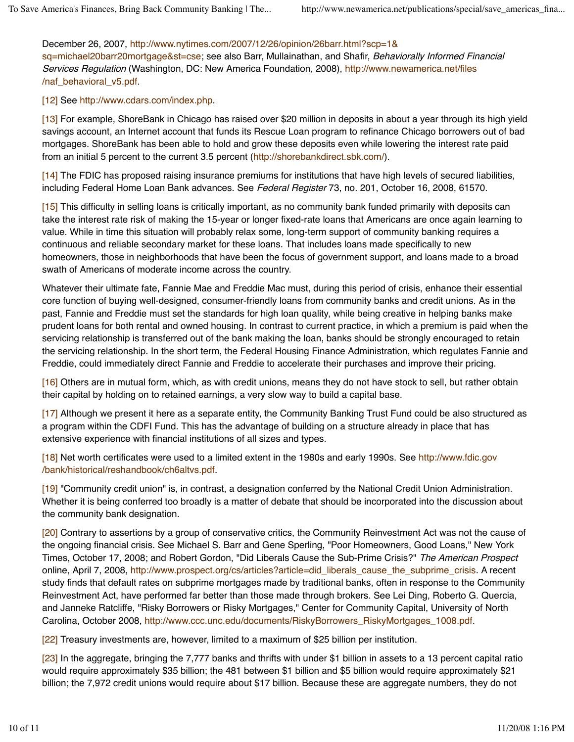December 26, 2007, http://www.nytimes.com/2007/12/26/opinion/26barr.html?scp=1& sq=michael20barr20mortgage&st=cse; see also Barr, Mullainathan, and Shafir, Behaviorally Informed Financial Services Regulation (Washington, DC: New America Foundation, 2008), http://www.newamerica.net/files /naf\_behavioral\_v5.pdf.

#### [12] See http://www.cdars.com/index.php.

[13] For example, ShoreBank in Chicago has raised over \$20 million in deposits in about a year through its high yield savings account, an Internet account that funds its Rescue Loan program to refinance Chicago borrowers out of bad mortgages. ShoreBank has been able to hold and grow these deposits even while lowering the interest rate paid from an initial 5 percent to the current 3.5 percent (http://shorebankdirect.sbk.com/).

[14] The FDIC has proposed raising insurance premiums for institutions that have high levels of secured liabilities, including Federal Home Loan Bank advances. See Federal Register 73, no. 201, October 16, 2008, 61570.

[15] This difficulty in selling loans is critically important, as no community bank funded primarily with deposits can take the interest rate risk of making the 15-year or longer fixed-rate loans that Americans are once again learning to value. While in time this situation will probably relax some, long-term support of community banking requires a continuous and reliable secondary market for these loans. That includes loans made specifically to new homeowners, those in neighborhoods that have been the focus of government support, and loans made to a broad swath of Americans of moderate income across the country.

Whatever their ultimate fate, Fannie Mae and Freddie Mac must, during this period of crisis, enhance their essential core function of buying well-designed, consumer-friendly loans from community banks and credit unions. As in the past, Fannie and Freddie must set the standards for high loan quality, while being creative in helping banks make prudent loans for both rental and owned housing. In contrast to current practice, in which a premium is paid when the servicing relationship is transferred out of the bank making the loan, banks should be strongly encouraged to retain the servicing relationship. In the short term, the Federal Housing Finance Administration, which regulates Fannie and Freddie, could immediately direct Fannie and Freddie to accelerate their purchases and improve their pricing.

[16] Others are in mutual form, which, as with credit unions, means they do not have stock to sell, but rather obtain their capital by holding on to retained earnings, a very slow way to build a capital base.

[17] Although we present it here as a separate entity, the Community Banking Trust Fund could be also structured as a program within the CDFI Fund. This has the advantage of building on a structure already in place that has extensive experience with financial institutions of all sizes and types.

[18] Net worth certificates were used to a limited extent in the 1980s and early 1990s. See http://www.fdic.gov /bank/historical/reshandbook/ch6altvs.pdf.

[19] "Community credit union" is, in contrast, a designation conferred by the National Credit Union Administration. Whether it is being conferred too broadly is a matter of debate that should be incorporated into the discussion about the community bank designation.

[20] Contrary to assertions by a group of conservative critics, the Community Reinvestment Act was not the cause of the ongoing financial crisis. See Michael S. Barr and Gene Sperling, "Poor Homeowners, Good Loans," New York Times, October 17, 2008; and Robert Gordon, "Did Liberals Cause the Sub-Prime Crisis?" The American Prospect online, April 7, 2008, http://www.prospect.org/cs/articles?article=did\_liberals\_cause\_the\_subprime\_crisis. A recent study finds that default rates on subprime mortgages made by traditional banks, often in response to the Community Reinvestment Act, have performed far better than those made through brokers. See Lei Ding, Roberto G. Quercia, and Janneke Ratcliffe, "Risky Borrowers or Risky Mortgages," Center for Community Capital, University of North Carolina, October 2008, http://www.ccc.unc.edu/documents/RiskyBorrowers\_RiskyMortgages\_1008.pdf.

[22] Treasury investments are, however, limited to a maximum of \$25 billion per institution.

[23] In the aggregate, bringing the 7,777 banks and thrifts with under \$1 billion in assets to a 13 percent capital ratio would require approximately \$35 billion; the 481 between \$1 billion and \$5 billion would require approximately \$21 billion; the 7,972 credit unions would require about \$17 billion. Because these are aggregate numbers, they do not